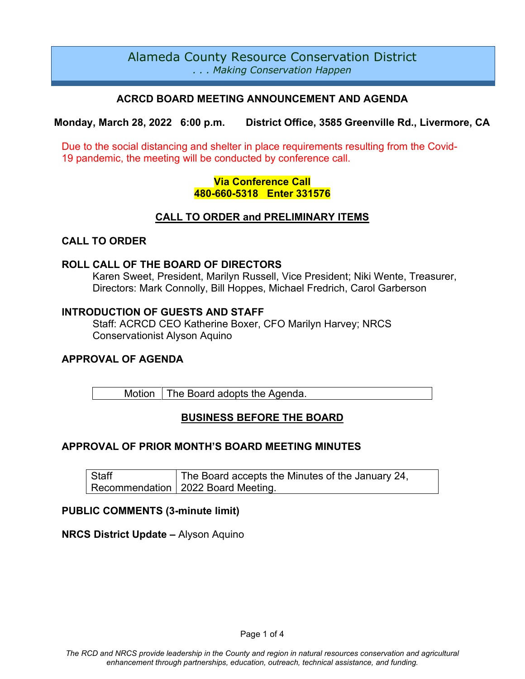# Alameda County Resource Conservation District *. . . Making Conservation Happen*

## **ACRCD BOARD MEETING ANNOUNCEMENT AND AGENDA**

**Monday, March 28, 2022 6:00 p.m. District Office, 3585 Greenville Rd., Livermore, CA**

Due to the social distancing and shelter in place requirements resulting from the Covid-19 pandemic, the meeting will be conducted by conference call.

## **Via Conference Call 480-660-5318 Enter 331576**

## **CALL TO ORDER and PRELIMINARY ITEMS**

## **CALL TO ORDER**

#### **ROLL CALL OF THE BOARD OF DIRECTORS**

Karen Sweet, President, Marilyn Russell, Vice President; Niki Wente, Treasurer, Directors: Mark Connolly, Bill Hoppes, Michael Fredrich, Carol Garberson

#### **INTRODUCTION OF GUESTS AND STAFF**

Staff: ACRCD CEO Katherine Boxer, CFO Marilyn Harvey; NRCS Conservationist Alyson Aquino

## **APPROVAL OF AGENDA**

Motion  $\vert$  The Board adopts the Agenda.

# **BUSINESS BEFORE THE BOARD**

## **APPROVAL OF PRIOR MONTH'S BOARD MEETING MINUTES**

**Staff** Recommendation The Board accepts the Minutes of the January 24, 2022 Board Meeting.

## **PUBLIC COMMENTS (3-minute limit)**

#### **NRCS District Update –** Alyson Aquino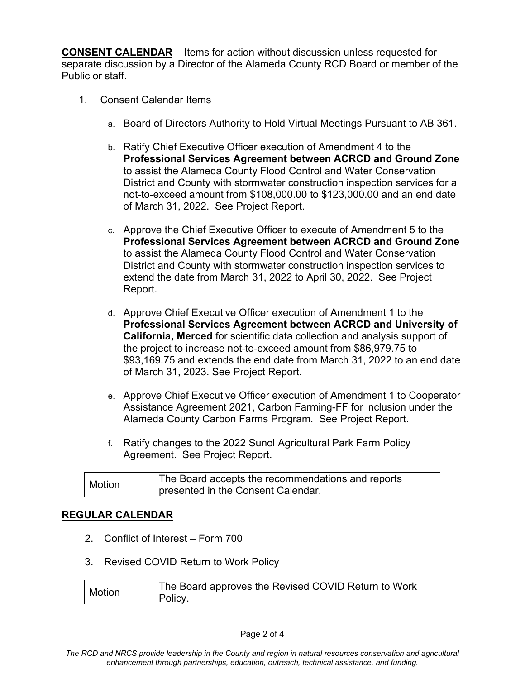**CONSENT CALENDAR** – Items for action without discussion unless requested for separate discussion by a Director of the Alameda County RCD Board or member of the Public or staff.

- 1. Consent Calendar Items
	- a. Board of Directors Authority to Hold Virtual Meetings Pursuant to AB 361.
	- b. Ratify Chief Executive Officer execution of Amendment 4 to the **Professional Services Agreement between ACRCD and Ground Zone** to assist the Alameda County Flood Control and Water Conservation District and County with stormwater construction inspection services for a not-to-exceed amount from \$108,000.00 to \$123,000.00 and an end date of March 31, 2022. See Project Report.
	- c. Approve the Chief Executive Officer to execute of Amendment 5 to the **Professional Services Agreement between ACRCD and Ground Zone** to assist the Alameda County Flood Control and Water Conservation District and County with stormwater construction inspection services to extend the date from March 31, 2022 to April 30, 2022. See Project Report.
	- d. Approve Chief Executive Officer execution of Amendment 1 to the **Professional Services Agreement between ACRCD and University of California, Merced** for scientific data collection and analysis support of the project to increase not-to-exceed amount from \$86,979.75 to \$93,169.75 and extends the end date from March 31, 2022 to an end date of March 31, 2023. See Project Report.
	- e. Approve Chief Executive Officer execution of Amendment 1 to Cooperator Assistance Agreement 2021, Carbon Farming-FF for inclusion under the Alameda County Carbon Farms Program. See Project Report.
	- f. Ratify changes to the 2022 Sunol Agricultural Park Farm Policy Agreement. See Project Report.

| <b>Motion</b> | The Board accepts the recommendations and reports |
|---------------|---------------------------------------------------|
|               | presented in the Consent Calendar.                |

## **REGULAR CALENDAR**

- 2. Conflict of Interest Form 700
- 3. Revised COVID Return to Work Policy

| <b>Motion</b> | The Board approves the Revised COVID Return to Work |
|---------------|-----------------------------------------------------|
|               | Policy.                                             |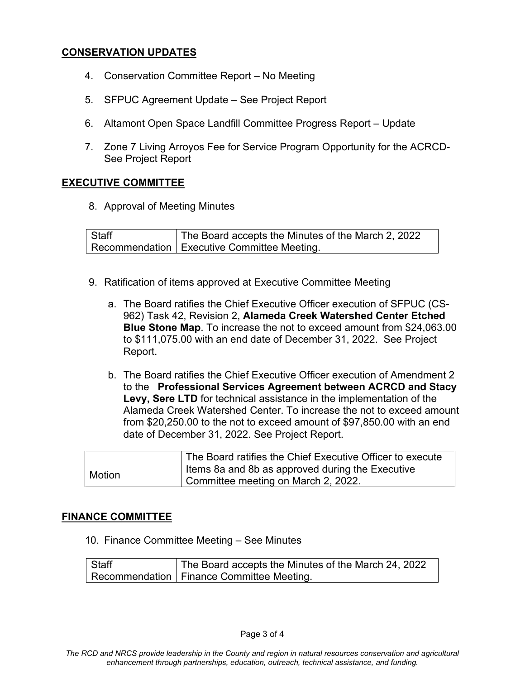## **CONSERVATION UPDATES**

- 4. Conservation Committee Report No Meeting
- 5. SFPUC Agreement Update See Project Report
- 6. Altamont Open Space Landfill Committee Progress Report Update
- 7. Zone 7 Living Arroyos Fee for Service Program Opportunity for the ACRCD-See Project Report

#### **EXECUTIVE COMMITTEE**

8. Approval of Meeting Minutes

**Staff** Recommendation Executive Committee Meeting. The Board accepts the Minutes of the March 2, 2022

- 9. Ratification of items approved at Executive Committee Meeting
	- a. The Board ratifies the Chief Executive Officer execution of SFPUC (CS-962) Task 42, Revision 2, **Alameda Creek Watershed Center Etched Blue Stone Map**. To increase the not to exceed amount from \$24,063.00 to \$111,075.00 with an end date of December 31, 2022. See Project Report.
	- b. The Board ratifies the Chief Executive Officer execution of Amendment 2 to the **Professional Services Agreement between ACRCD and Stacy Levy, Sere LTD** for technical assistance in the implementation of the Alameda Creek Watershed Center. To increase the not to exceed amount from \$20,250.00 to the not to exceed amount of \$97,850.00 with an end date of December 31, 2022. See Project Report.

|               | The Board ratifies the Chief Executive Officer to execute |
|---------------|-----------------------------------------------------------|
| <b>Motion</b> | I Items 8a and 8b as approved during the Executive        |
|               | Committee meeting on March 2, 2022.                       |

## **FINANCE COMMITTEE**

10. Finance Committee Meeting – See Minutes

**Staff** Recommendation The Board accepts the Minutes of the March 24, 2022 Finance Committee Meeting.